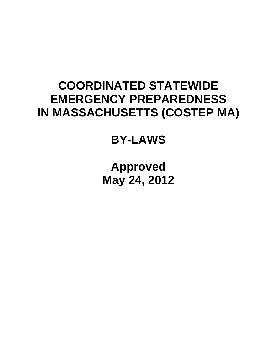# **COORDINATED STATEWIDE EMERGENCY PREPAREDNESS IN MASSACHUSETTS (COSTEP MA)**

# **BY-LAWS**

**Approved May 24, 2012**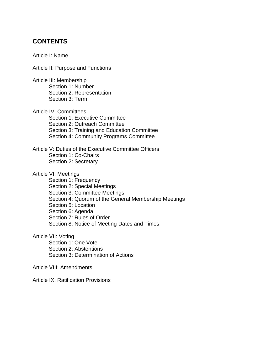# **CONTENTS**

Article I: Name

Article II: Purpose and Functions

Article III: Membership Section 1: Number Section 2: Representation Section 3: Term

Article IV. Committees Section 1: Executive Committee Section 2: Outreach Committee Section 3: Training and Education Committee Section 4: Community Programs Committee

Article V: Duties of the Executive Committee Officers Section 1: Co-Chairs Section 2: Secretary

Article VI: Meetings

Section 1: Frequency Section 2: Special Meetings Section 3: Committee Meetings Section 4: Quorum of the General Membership Meetings Section 5: Location Section 6: Agenda Section 7: Rules of Order Section 8: Notice of Meeting Dates and Times

Article VII: Voting

Section 1: One Vote Section 2: Abstentions Section 3: Determination of Actions

Article VIII: Amendments

Article IX: Ratification Provisions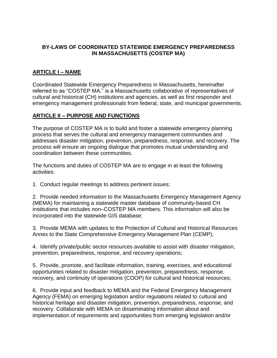#### **BY-LAWS OF COORDINATED STATEWIDE EMERGENCY PREPAREDNESS IN MASSACHUSETTS (COSTEP MA)**

## **ARTICLE I – NAME**

Coordinated Statewide Emergency Preparedness in Massachusetts, hereinafter referred to as "COSTEP MA," is a Massachusetts collaborative of representatives of cultural and historical (CH) institutions and agencies, as well as first responder and emergency management professionals from federal, state, and municipal governments.

#### **ARTICLE II – PURPOSE AND FUNCTIONS**

The purpose of COSTEP MA is to build and foster a statewide emergency planning process that serves the cultural and emergency management communities and addresses disaster mitigation, prevention, preparedness, response, and recovery. The process will ensure an ongoing dialogue that promotes mutual understanding and coordination between these communities.

The functions and duties of COSTEP MA are to engage in at least the following activities:

1. Conduct regular meetings to address pertinent issues;

2. Provide needed information to the Massachusetts Emergency Management Agency (MEMA) for maintaining a statewide master database of community-based CH institutions that includes non–COSTEP MA members. This information will also be incorporated into the statewide GIS database;

3. Provide MEMA with updates to the Protection of Cultural and Historical Resources Annex to the State Comprehensive Emergency Management Plan (CEMP);

4. Identify private/public sector resources available to assist with disaster mitigation, prevention, preparedness, response, and recovery operations;

5. Provide, promote, and facilitate information, training, exercises, and educational opportunities related to disaster mitigation, prevention, preparedness, response, recovery, and continuity of operations (COOP) for cultural and historical resources;

6. Provide input and feedback to MEMA and the Federal Emergency Management Agency (FEMA) on emerging legislation and/or regulations related to cultural and historical heritage and disaster mitigation, prevention, preparedness, response, and recovery. Collaborate with MEMA on disseminating information about and implementation of requirements and opportunities from emerging legislation and/or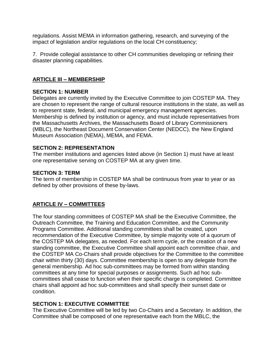regulations. Assist MEMA in information gathering, research, and surveying of the impact of legislation and/or regulations on the local CH constituency;

7. Provide collegial assistance to other CH communities developing or refining their disaster planning capabilities.

#### **ARTICLE III – MEMBERSHIP**

#### **SECTION 1: NUMBER**

Delegates are currently invited by the Executive Committee to join COSTEP MA. They are chosen to represent the range of cultural resource institutions in the state, as well as to represent state, federal, and municipal emergency management agencies. Membership is defined by institution or agency, and must include representatives from the Massachusetts Archives, the Massachusetts Board of Library Commissioners (MBLC), the Northeast Document Conservation Center (NEDCC), the New England Museum Association (NEMA), MEMA, and FEMA.

#### **SECTION 2: REPRESENTATION**

The member institutions and agencies listed above (in Section 1) must have at least one representative serving on COSTEP MA at any given time.

#### **SECTION 3: TERM**

The term of membership in COSTEP MA shall be continuous from year to year or as defined by other provisions of these by-laws.

# **ARTICLE IV – COMMITTEES**

The four standing committees of COSTEP MA shall be the Executive Committee, the Outreach Committee, the Training and Education Committee, and the Community Programs Committee. Additional standing committees shall be created, upon recommendation of the Executive Committee, by simple majority vote of a quorum of the COSTEP MA delegates, as needed. For each term cycle, or the creation of a new standing committee, the Executive Committee shall appoint each committee chair, and the COSTEP MA Co-Chairs shall provide objectives for the Committee to the committee chair within thirty (30) days. Committee membership is open to any delegate from the general membership. Ad hoc sub-committees may be formed from within standing committees at any time for special purposes or assignments. Such ad hoc subcommittees shall cease to function when their specific charge is completed. Committee chairs shall appoint ad hoc sub-committees and shall specify their sunset date or condition.

# **SECTION 1: EXECUTIVE COMMITTEE**

The Executive Committee will be led by two Co-Chairs and a Secretary. In addition, the Committee shall be composed of one representative each from the MBLC, the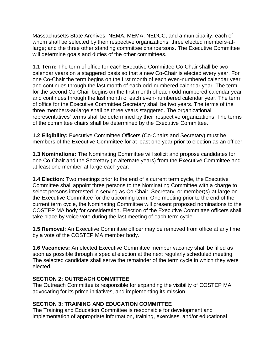Massachusetts State Archives, NEMA, MEMA, NEDCC, and a municipality, each of whom shall be selected by their respective organizations; three elected members-atlarge; and the three other standing committee chairpersons. The Executive Committee will determine goals and duties of the other committees.

**1.1 Term:** The term of office for each Executive Committee Co-Chair shall be two calendar years on a staggered basis so that a new Co-Chair is elected every year. For one Co-Chair the term begins on the first month of each even-numbered calendar year and continues through the last month of each odd-numbered calendar year. The term for the second Co-Chair begins on the first month of each odd-numbered calendar year and continues through the last month of each even-numbered calendar year. The term of office for the Executive Committee Secretary shall be two years. The terms of the three members-at-large shall be three years staggered. The organizational representatives' terms shall be determined by their respective organizations. The terms of the committee chairs shall be determined by the Executive Committee.

**1.2 Eligibility:** Executive Committee Officers (Co-Chairs and Secretary) must be members of the Executive Committee for at least one year prior to election as an officer.

**1.3 Nominations:** The Nominating Committee will solicit and propose candidates for one Co-Chair and the Secretary (in alternate years) from the Executive Committee and at least one member-at-large each year.

**1.4 Election:** Two meetings prior to the end of a current term cycle, the Executive Committee shall appoint three persons to the Nominating Committee with a charge to select persons interested in serving as Co-Chair, Secretary, or member(s)-at-large on the Executive Committee for the upcoming term. One meeting prior to the end of the current term cycle, the Nominating Committee will present proposed nominations to the COSTEP MA body for consideration. Election of the Executive Committee officers shall take place by voice vote during the last meeting of each term cycle.

**1.5 Removal:** An Executive Committee officer may be removed from office at any time by a vote of the COSTEP MA member body.

**1.6 Vacancies:** An elected Executive Committee member vacancy shall be filled as soon as possible through a special election at the next regularly scheduled meeting. The selected candidate shall serve the remainder of the term cycle in which they were elected.

# **SECTION 2: OUTREACH COMMITTEE**

The Outreach Committee is responsible for expanding the visibility of COSTEP MA, advocating for its prime initiatives, and implementing its mission.

# **SECTION 3: TRAINING AND EDUCATION COMMITTEE**

The Training and Education Committee is responsible for development and implementation of appropriate information, training, exercises, and/or educational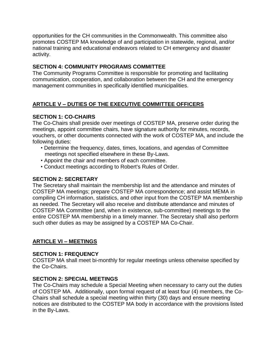opportunities for the CH communities in the Commonwealth. This committee also promotes COSTEP MA knowledge of and participation in statewide, regional, and/or national training and educational endeavors related to CH emergency and disaster activity.

# **SECTION 4: COMMUNITY PROGRAMS COMMITTEE**

The Community Programs Committee is responsible for promoting and facilitating communication, cooperation, and collaboration between the CH and the emergency management communities in specifically identified municipalities.

# **ARTICLE V – DUTIES OF THE EXECUTIVE COMMITTEE OFFICERS**

# **SECTION 1: CO-CHAIRS**

The Co-Chairs shall preside over meetings of COSTEP MA, preserve order during the meetings, appoint committee chairs, have signature authority for minutes, records, vouchers, or other documents connected with the work of COSTEP MA, and include the following duties:

- Determine the frequency, dates, times, locations, and agendas of Committee meetings not specified elsewhere in these By-Laws.
- Appoint the chair and members of each committee.
- Conduct meetings according to Robert's Rules of Order.

#### **SECTION 2: SECRETARY**

The Secretary shall maintain the membership list and the attendance and minutes of COSTEP MA meetings; prepare COSTEP MA correspondence; and assist MEMA in compiling CH information, statistics, and other input from the COSTEP MA membership as needed. The Secretary will also receive and distribute attendance and minutes of COSTEP MA Committee (and, when in existence, sub-committee) meetings to the entire COSTEP MA membership in a timely manner. The Secretary shall also perform such other duties as may be assigned by a COSTEP MA Co-Chair.

# **ARTICLE VI – MEETINGS**

# **SECTION 1: FREQUENCY**

COSTEP MA shall meet bi-monthly for regular meetings unless otherwise specified by the Co-Chairs.

# **SECTION 2: SPECIAL MEETINGS**

The Co-Chairs may schedule a Special Meeting when necessary to carry out the duties of COSTEP MA. Additionally, upon formal request of at least four (4) members, the Co-Chairs shall schedule a special meeting within thirty (30) days and ensure meeting notices are distributed to the COSTEP MA body in accordance with the provisions listed in the By-Laws.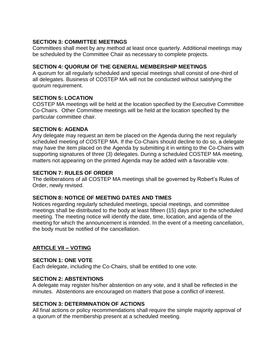## **SECTION 3: COMMITTEE MEETINGS**

Committees shall meet by any method at least once quarterly. Additional meetings may be scheduled by the Committee Chair as necessary to complete projects.

#### **SECTION 4: QUORUM OF THE GENERAL MEMBERSHIP MEETINGS**

A quorum for all regularly scheduled and special meetings shall consist of one-third of all delegates. Business of COSTEP MA will not be conducted without satisfying the quorum requirement.

#### **SECTION 5: LOCATION**

COSTEP MA meetings will be held at the location specified by the Executive Committee Co-Chairs. Other Committee meetings will be held at the location specified by the particular committee chair.

#### **SECTION 6: AGENDA**

Any delegate may request an item be placed on the Agenda during the next regularly scheduled meeting of COSTEP MA. If the Co-Chairs should decline to do so, a delegate may have the item placed on the Agenda by submitting it in writing to the Co-Chairs with supporting signatures of three (3) delegates. During a scheduled COSTEP MA meeting, matters not appearing on the printed Agenda may be added with a favorable vote.

#### **SECTION 7: RULES OF ORDER**

The deliberations of all COSTEP MA meetings shall be governed by Robert's Rules of Order, newly revised.

#### **SECTION 8: NOTICE OF MEETING DATES AND TIMES**

Notices regarding regularly scheduled meetings, special meetings, and committee meetings shall be distributed to the body at least fifteen (15) days prior to the scheduled meeting. The meeting notice will identify the date, time, location, and agenda of the meeting for which the announcement is intended. In the event of a meeting cancellation, the body must be notified of the cancellation.

# **ARTICLE VII – VOTING**

#### **SECTION 1: ONE VOTE**

Each delegate, including the Co-Chairs, shall be entitled to one vote.

#### **SECTION 2: ABSTENTIONS**

A delegate may register his/her abstention on any vote, and it shall be reflected in the minutes. Abstentions are encouraged on matters that pose a conflict of interest.

#### **SECTION 3: DETERMINATION OF ACTIONS**

All final actions or policy recommendations shall require the simple majority approval of a quorum of the membership present at a scheduled meeting.